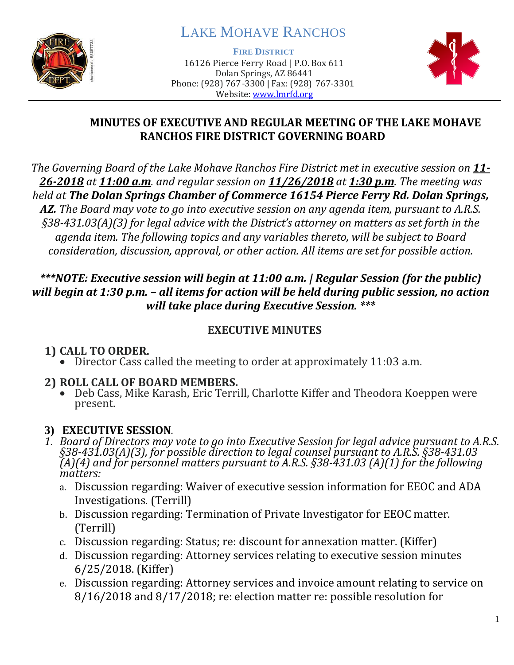

# LAKE MOHAVE RANCHOS

**FIRE DISTRICT**

16126 Pierce Ferry Road | P.O. Box 611 Dolan Springs, AZ 86441 Phone: (928) 767-3300 | Fax: (928) 767-3301 Website: [www.lmrfd.org](http://www.lmrfd.org/)



#### **MINUTES OF EXECUTIVE AND REGULAR MEETING OF THE LAKE MOHAVE RANCHOS FIRE DISTRICT GOVERNING BOARD**

*The Governing Board of the Lake Mohave Ranchos Fire District met in executive session on 11- 26-2018 at 11:00 a.m. and regular session on 11/26/2018 at 1:30 p.m. The meeting was held at The Dolan Springs Chamber of Commerce 16154 Pierce Ferry Rd. Dolan Springs, AZ. The Board may vote to go into executive session on any agenda item, pursuant to A.R.S. §38-431.03(A)(3) for legal advice with the District's attorney on matters as set forth in the agenda item. The following topics and any variables thereto, will be subject to Board consideration, discussion, approval, or other action. All items are set for possible action.*

#### *\*\*\*NOTE: Executive session will begin at 11:00 a.m. | Regular Session (for the public) will begin at 1:30 p.m. – all items for action will be held during public session, no action will take place during Executive Session. \*\*\**

#### **EXECUTIVE MINUTES**

# **1) CALL TO ORDER.**

• Director Cass called the meeting to order at approximately 11:03 a.m.

### **2) ROLL CALL OF BOARD MEMBERS.**

• Deb Cass, Mike Karash, Eric Terrill, Charlotte Kiffer and Theodora Koeppen were present.

# **3) EXECUTIVE SESSION***.*

- *1. Board of Directors may vote to go into Executive Session for legal advice pursuant to A.R.S. §38-431.03(A)(3), for possible direction to legal counsel pursuant to A.R.S. §38-431.03 (A)(4) and for personnel matters pursuant to A.R.S. §38-431.03 (A)(1) for the following matters:*
	- a. Discussion regarding: Waiver of executive session information for EEOC and ADA Investigations. (Terrill)
	- b. Discussion regarding: Termination of Private Investigator for EEOC matter. (Terrill)
	- c. Discussion regarding: Status; re: discount for annexation matter. (Kiffer)
	- d. Discussion regarding: Attorney services relating to executive session minutes 6/25/2018. (Kiffer)
	- e. Discussion regarding: Attorney services and invoice amount relating to service on 8/16/2018 and 8/17/2018; re: election matter re: possible resolution for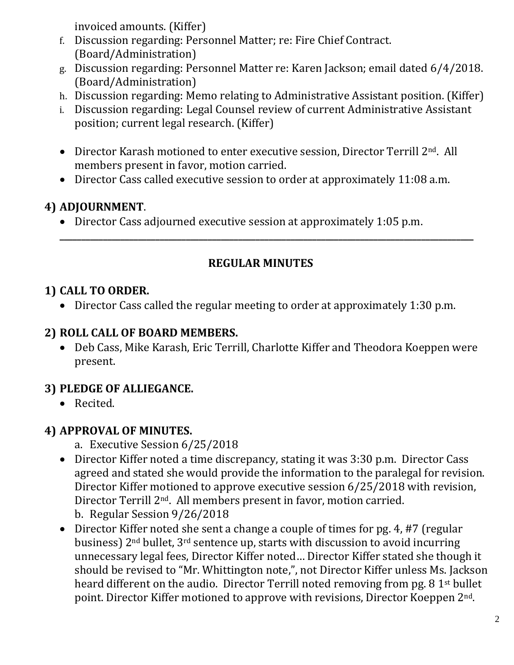invoiced amounts. (Kiffer)

- f. Discussion regarding: Personnel Matter; re: Fire Chief Contract. (Board/Administration)
- g. Discussion regarding: Personnel Matter re: Karen Jackson; email dated 6/4/2018. (Board/Administration)
- h. Discussion regarding: Memo relating to Administrative Assistant position. (Kiffer)
- i. Discussion regarding: Legal Counsel review of current Administrative Assistant position; current legal research. (Kiffer)
- Director Karash motioned to enter executive session, Director Terrill 2<sup>nd</sup>. All members present in favor, motion carried.
- Director Cass called executive session to order at approximately 11:08 a.m.

# **4) ADJOURNMENT**.

• Director Cass adjourned executive session at approximately 1:05 p.m.

### **REGULAR MINUTES**

**\_\_\_\_\_\_\_\_\_\_\_\_\_\_\_\_\_\_\_\_\_\_\_\_\_\_\_\_\_\_\_\_\_\_\_\_\_\_\_\_\_\_\_\_\_\_\_\_\_\_\_\_\_\_\_\_\_\_\_\_\_\_\_\_\_\_\_\_\_\_\_\_\_\_\_\_\_\_\_\_\_\_\_\_\_\_\_\_\_\_\_\_\_\_\_**

# **1) CALL TO ORDER.**

• Director Cass called the regular meeting to order at approximately 1:30 p.m.

### **2) ROLL CALL OF BOARD MEMBERS.**

• Deb Cass, Mike Karash, Eric Terrill, Charlotte Kiffer and Theodora Koeppen were present.

# **3) PLEDGE OF ALLIEGANCE.**

• Recited.

# **4) APPROVAL OF MINUTES.**

- a. Executive Session 6/25/2018
- Director Kiffer noted a time discrepancy, stating it was 3:30 p.m. Director Cass agreed and stated she would provide the information to the paralegal for revision. Director Kiffer motioned to approve executive session 6/25/2018 with revision, Director Terrill 2nd. All members present in favor, motion carried. b. Regular Session 9/26/2018
- Director Kiffer noted she sent a change a couple of times for pg. 4, #7 (regular business) 2nd bullet, 3rd sentence up, starts with discussion to avoid incurring unnecessary legal fees, Director Kiffer noted… Director Kiffer stated she though it should be revised to "Mr. Whittington note,", not Director Kiffer unless Ms. Jackson heard different on the audio. Director Terrill noted removing from pg. 8 1<sup>st</sup> bullet point. Director Kiffer motioned to approve with revisions, Director Koeppen 2nd.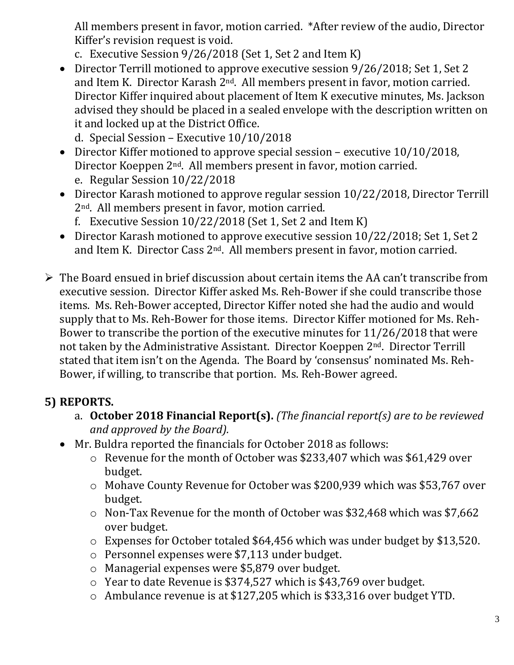All members present in favor, motion carried. \*After review of the audio, Director Kiffer's revision request is void.

- c. Executive Session 9/26/2018 (Set 1, Set 2 and Item K)
- Director Terrill motioned to approve executive session 9/26/2018; Set 1, Set 2 and Item K. Director Karash 2<sup>nd</sup>. All members present in favor, motion carried. Director Kiffer inquired about placement of Item K executive minutes, Ms. Jackson advised they should be placed in a sealed envelope with the description written on it and locked up at the District Office.
	- d. Special Session Executive 10/10/2018
- Director Kiffer motioned to approve special session executive 10/10/2018, Director Koeppen 2nd. All members present in favor, motion carried. e. Regular Session 10/22/2018
- Director Karash motioned to approve regular session 10/22/2018, Director Terrill 2nd. All members present in favor, motion carried.
	- f. Executive Session 10/22/2018 (Set 1, Set 2 and Item K)
- Director Karash motioned to approve executive session  $10/22/2018$ ; Set 1, Set 2 and Item K. Director Cass 2nd. All members present in favor, motion carried.
- ➢ The Board ensued in brief discussion about certain items the AA can't transcribe from executive session. Director Kiffer asked Ms. Reh-Bower if she could transcribe those items. Ms. Reh-Bower accepted, Director Kiffer noted she had the audio and would supply that to Ms. Reh-Bower for those items. Director Kiffer motioned for Ms. Reh-Bower to transcribe the portion of the executive minutes for 11/26/2018 that were not taken by the Administrative Assistant. Director Koeppen 2nd. Director Terrill stated that item isn't on the Agenda. The Board by 'consensus' nominated Ms. Reh-Bower, if willing, to transcribe that portion. Ms. Reh-Bower agreed.

### **5) REPORTS.**

- a. **October 2018 Financial Report(s).** *(The financial report(s) are to be reviewed and approved by the Board).*
- Mr. Buldra reported the financials for October 2018 as follows:
	- o Revenue for the month of October was \$233,407 which was \$61,429 over budget.
	- o Mohave County Revenue for October was \$200,939 which was \$53,767 over budget.
	- o Non-Tax Revenue for the month of October was \$32,468 which was \$7,662 over budget.
	- o Expenses for October totaled \$64,456 which was under budget by \$13,520.
	- o Personnel expenses were \$7,113 under budget.
	- o Managerial expenses were \$5,879 over budget.
	- o Year to date Revenue is \$374,527 which is \$43,769 over budget.
	- o Ambulance revenue is at \$127,205 which is \$33,316 over budget YTD.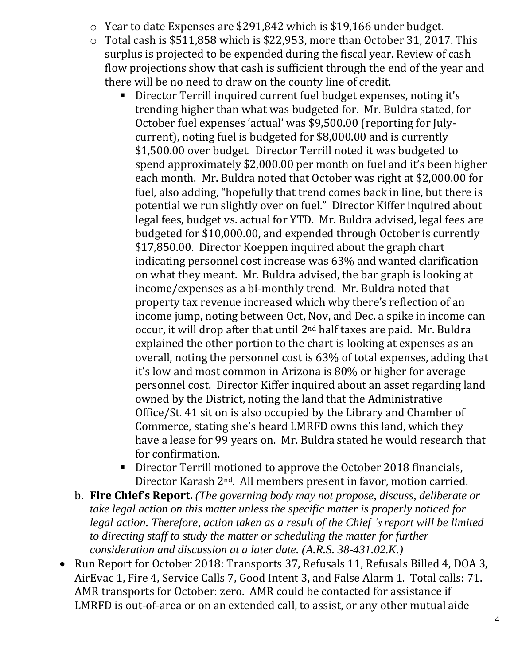- o Year to date Expenses are \$291,842 which is \$19,166 under budget.
- o Total cash is \$511,858 which is \$22,953, more than October 31, 2017. This surplus is projected to be expended during the fiscal year. Review of cash flow projections show that cash is sufficient through the end of the year and there will be no need to draw on the county line of credit.
	- Director Terrill inquired current fuel budget expenses, noting it's trending higher than what was budgeted for. Mr. Buldra stated, for October fuel expenses 'actual' was \$9,500.00 (reporting for Julycurrent), noting fuel is budgeted for \$8,000.00 and is currently \$1,500.00 over budget. Director Terrill noted it was budgeted to spend approximately \$2,000.00 per month on fuel and it's been higher each month. Mr. Buldra noted that October was right at \$2,000.00 for fuel, also adding, "hopefully that trend comes back in line, but there is potential we run slightly over on fuel." Director Kiffer inquired about legal fees, budget vs. actual for YTD. Mr. Buldra advised, legal fees are budgeted for \$10,000.00, and expended through October is currently \$17,850.00. Director Koeppen inquired about the graph chart indicating personnel cost increase was 63% and wanted clarification on what they meant. Mr. Buldra advised, the bar graph is looking at income/expenses as a bi-monthly trend. Mr. Buldra noted that property tax revenue increased which why there's reflection of an income jump, noting between Oct, Nov, and Dec. a spike in income can occur, it will drop after that until 2nd half taxes are paid. Mr. Buldra explained the other portion to the chart is looking at expenses as an overall, noting the personnel cost is 63% of total expenses, adding that it's low and most common in Arizona is 80% or higher for average personnel cost. Director Kiffer inquired about an asset regarding land owned by the District, noting the land that the Administrative Office/St. 41 sit on is also occupied by the Library and Chamber of Commerce, stating she's heard LMRFD owns this land, which they have a lease for 99 years on. Mr. Buldra stated he would research that for confirmation.
	- Director Terrill motioned to approve the October 2018 financials, Director Karash 2nd. All members present in favor, motion carried.
- b. **Fire Chief's Report.** *(The governing body may not propose, discuss, deliberate or take legal action on this matter unless the specific matter is properly noticed for legal action. Therefore, action taken as a result of the Chief 's report will be limited to directing staff to study the matter or scheduling the matter for further consideration and discussion at a later date. (A.R.S. 38-431.02.K.)*
- Run Report for October 2018: Transports 37, Refusals 11, Refusals Billed 4, DOA 3, AirEvac 1, Fire 4, Service Calls 7, Good Intent 3, and False Alarm 1. Total calls: 71. AMR transports for October: zero. AMR could be contacted for assistance if LMRFD is out-of-area or on an extended call, to assist, or any other mutual aide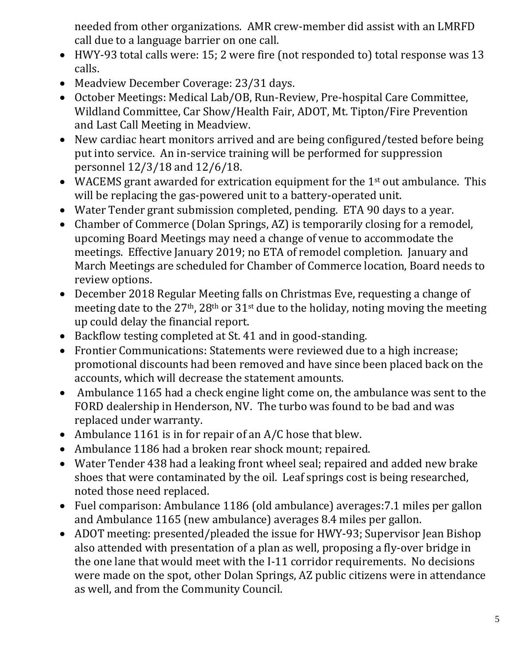needed from other organizations. AMR crew-member did assist with an LMRFD call due to a language barrier on one call.

- HWY-93 total calls were: 15; 2 were fire (not responded to) total response was 13 calls.
- Meadview December Coverage: 23/31 days.
- October Meetings: Medical Lab/OB, Run-Review, Pre-hospital Care Committee, Wildland Committee, Car Show/Health Fair, ADOT, Mt. Tipton/Fire Prevention and Last Call Meeting in Meadview.
- New cardiac heart monitors arrived and are being configured/tested before being put into service. An in-service training will be performed for suppression personnel 12/3/18 and 12/6/18.
- WACEMS grant awarded for extrication equipment for the 1<sup>st</sup> out ambulance. This will be replacing the gas-powered unit to a battery-operated unit.
- Water Tender grant submission completed, pending. ETA 90 days to a year.
- Chamber of Commerce (Dolan Springs, AZ) is temporarily closing for a remodel, upcoming Board Meetings may need a change of venue to accommodate the meetings. Effective January 2019; no ETA of remodel completion. January and March Meetings are scheduled for Chamber of Commerce location, Board needs to review options.
- December 2018 Regular Meeting falls on Christmas Eve, requesting a change of meeting date to the  $27<sup>th</sup>$ ,  $28<sup>th</sup>$  or  $31<sup>st</sup>$  due to the holiday, noting moving the meeting up could delay the financial report.
- Backflow testing completed at St. 41 and in good-standing.
- Frontier Communications: Statements were reviewed due to a high increase; promotional discounts had been removed and have since been placed back on the accounts, which will decrease the statement amounts.
- Ambulance 1165 had a check engine light come on, the ambulance was sent to the FORD dealership in Henderson, NV. The turbo was found to be bad and was replaced under warranty.
- Ambulance 1161 is in for repair of an A/C hose that blew.
- Ambulance 1186 had a broken rear shock mount; repaired.
- Water Tender 438 had a leaking front wheel seal; repaired and added new brake shoes that were contaminated by the oil. Leaf springs cost is being researched, noted those need replaced.
- Fuel comparison: Ambulance 1186 (old ambulance) averages:7.1 miles per gallon and Ambulance 1165 (new ambulance) averages 8.4 miles per gallon.
- ADOT meeting: presented/pleaded the issue for HWY-93; Supervisor Jean Bishop also attended with presentation of a plan as well, proposing a fly-over bridge in the one lane that would meet with the I-11 corridor requirements. No decisions were made on the spot, other Dolan Springs, AZ public citizens were in attendance as well, and from the Community Council.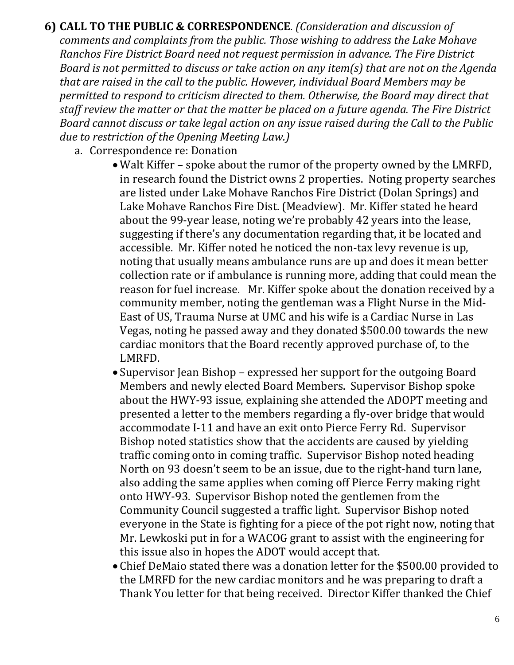**6) CALL TO THE PUBLIC & CORRESPONDENCE**. *(Consideration and discussion of comments and complaints from the public. Those wishing to address the Lake Mohave Ranchos Fire District Board need not request permission in advance. The Fire District Board is not permitted to discuss or take action on any item(s) that are not on the Agenda that are raised in the call to the public. However, individual Board Members may be permitted to respond to criticism directed to them. Otherwise, the Board may direct that staff review the matter or that the matter be placed on a future agenda. The Fire District Board cannot discuss or take legal action on any issue raised during the Call to the Public due to restriction of the Opening Meeting Law.)*

- a. Correspondence re: Donation
	- Walt Kiffer spoke about the rumor of the property owned by the LMRFD, in research found the District owns 2 properties. Noting property searches are listed under Lake Mohave Ranchos Fire District (Dolan Springs) and Lake Mohave Ranchos Fire Dist. (Meadview). Mr. Kiffer stated he heard about the 99-year lease, noting we're probably 42 years into the lease, suggesting if there's any documentation regarding that, it be located and accessible. Mr. Kiffer noted he noticed the non-tax levy revenue is up, noting that usually means ambulance runs are up and does it mean better collection rate or if ambulance is running more, adding that could mean the reason for fuel increase. Mr. Kiffer spoke about the donation received by a community member, noting the gentleman was a Flight Nurse in the Mid-East of US, Trauma Nurse at UMC and his wife is a Cardiac Nurse in Las Vegas, noting he passed away and they donated \$500.00 towards the new cardiac monitors that the Board recently approved purchase of, to the LMRFD.
	- Supervisor Jean Bishop expressed her support for the outgoing Board Members and newly elected Board Members. Supervisor Bishop spoke about the HWY-93 issue, explaining she attended the ADOPT meeting and presented a letter to the members regarding a fly-over bridge that would accommodate I-11 and have an exit onto Pierce Ferry Rd. Supervisor Bishop noted statistics show that the accidents are caused by yielding traffic coming onto in coming traffic. Supervisor Bishop noted heading North on 93 doesn't seem to be an issue, due to the right-hand turn lane, also adding the same applies when coming off Pierce Ferry making right onto HWY-93. Supervisor Bishop noted the gentlemen from the Community Council suggested a traffic light. Supervisor Bishop noted everyone in the State is fighting for a piece of the pot right now, noting that Mr. Lewkoski put in for a WACOG grant to assist with the engineering for this issue also in hopes the ADOT would accept that.
	- Chief DeMaio stated there was a donation letter for the \$500.00 provided to the LMRFD for the new cardiac monitors and he was preparing to draft a Thank You letter for that being received. Director Kiffer thanked the Chief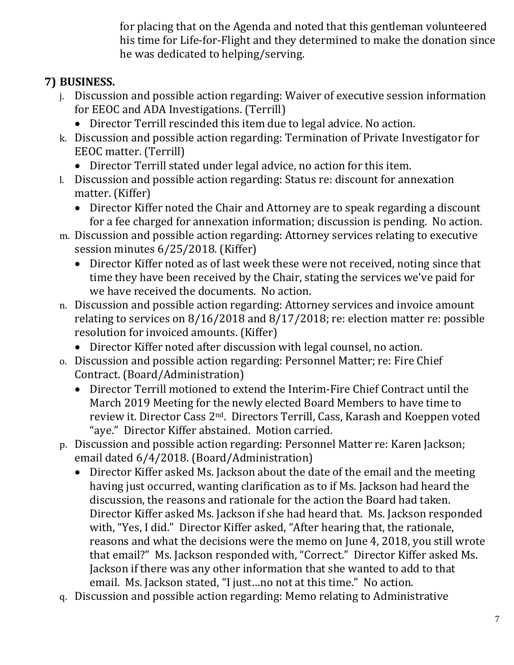for placing that on the Agenda and noted that this gentleman volunteered his time for Life-for-Flight and they determined to make the donation since he was dedicated to helping/serving.

# **7) BUSINESS.**

- j. Discussion and possible action regarding: Waiver of executive session information for EEOC and ADA Investigations. (Terrill)
	- Director Terrill rescinded this item due to legal advice. No action.
- k. Discussion and possible action regarding: Termination of Private Investigator for EEOC matter. (Terrill)
	- Director Terrill stated under legal advice, no action for this item.
- l. Discussion and possible action regarding: Status re: discount for annexation matter. (Kiffer)
	- Director Kiffer noted the Chair and Attorney are to speak regarding a discount for a fee charged for annexation information; discussion is pending. No action.
- m. Discussion and possible action regarding: Attorney services relating to executive session minutes 6/25/2018. (Kiffer)
	- Director Kiffer noted as of last week these were not received, noting since that time they have been received by the Chair, stating the services we've paid for we have received the documents. No action.
- n. Discussion and possible action regarding: Attorney services and invoice amount relating to services on 8/16/2018 and 8/17/2018; re: election matter re: possible resolution for invoiced amounts. (Kiffer)
	- Director Kiffer noted after discussion with legal counsel, no action.
- o. Discussion and possible action regarding: Personnel Matter; re: Fire Chief Contract. (Board/Administration)
	- Director Terrill motioned to extend the Interim-Fire Chief Contract until the March 2019 Meeting for the newly elected Board Members to have time to review it. Director Cass 2nd. Directors Terrill, Cass, Karash and Koeppen voted "aye." Director Kiffer abstained. Motion carried.
- p. Discussion and possible action regarding: Personnel Matter re: Karen Jackson; email dated 6/4/2018. (Board/Administration)
	- Director Kiffer asked Ms. Jackson about the date of the email and the meeting having just occurred, wanting clarification as to if Ms. Jackson had heard the discussion, the reasons and rationale for the action the Board had taken. Director Kiffer asked Ms. Jackson if she had heard that. Ms. Jackson responded with, "Yes, I did." Director Kiffer asked, "After hearing that, the rationale, reasons and what the decisions were the memo on June 4, 2018, you still wrote that email?" Ms. Jackson responded with, "Correct." Director Kiffer asked Ms. Jackson if there was any other information that she wanted to add to that email. Ms. Jackson stated, "I just…no not at this time." No action.
- q. Discussion and possible action regarding: Memo relating to Administrative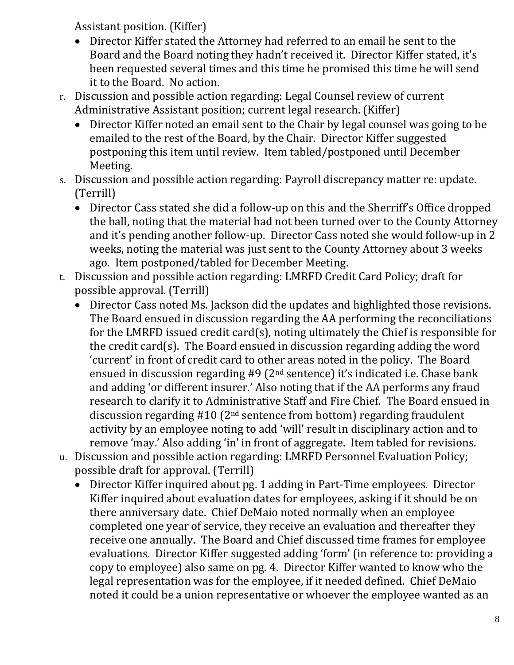Assistant position. (Kiffer)

- Director Kiffer stated the Attorney had referred to an email he sent to the Board and the Board noting they hadn't received it. Director Kiffer stated, it's been requested several times and this time he promised this time he will send it to the Board. No action.
- r. Discussion and possible action regarding: Legal Counsel review of current Administrative Assistant position; current legal research. (Kiffer)
	- Director Kiffer noted an email sent to the Chair by legal counsel was going to be emailed to the rest of the Board, by the Chair. Director Kiffer suggested postponing this item until review. Item tabled/postponed until December Meeting.
- s. Discussion and possible action regarding: Payroll discrepancy matter re: update. (Terrill)
	- Director Cass stated she did a follow-up on this and the Sherriff's Office dropped the ball, noting that the material had not been turned over to the County Attorney and it's pending another follow-up. Director Cass noted she would follow-up in 2 weeks, noting the material was just sent to the County Attorney about 3 weeks ago. Item postponed/tabled for December Meeting.
- t. Discussion and possible action regarding: LMRFD Credit Card Policy; draft for possible approval. (Terrill)
	- Director Cass noted Ms. Jackson did the updates and highlighted those revisions. The Board ensued in discussion regarding the AA performing the reconciliations for the LMRFD issued credit card(s), noting ultimately the Chief is responsible for the credit card(s). The Board ensued in discussion regarding adding the word 'current' in front of credit card to other areas noted in the policy. The Board ensued in discussion regarding #9 (2nd sentence) it's indicated i.e. Chase bank and adding 'or different insurer.' Also noting that if the AA performs any fraud research to clarify it to Administrative Staff and Fire Chief. The Board ensued in discussion regarding  $#10$  ( $2<sup>nd</sup>$  sentence from bottom) regarding fraudulent activity by an employee noting to add 'will' result in disciplinary action and to remove 'may.' Also adding 'in' in front of aggregate. Item tabled for revisions.
- u. Discussion and possible action regarding: LMRFD Personnel Evaluation Policy; possible draft for approval. (Terrill)
	- Director Kiffer inquired about pg. 1 adding in Part-Time employees. Director Kiffer inquired about evaluation dates for employees, asking if it should be on there anniversary date. Chief DeMaio noted normally when an employee completed one year of service, they receive an evaluation and thereafter they receive one annually. The Board and Chief discussed time frames for employee evaluations. Director Kiffer suggested adding 'form' (in reference to: providing a copy to employee) also same on pg. 4. Director Kiffer wanted to know who the legal representation was for the employee, if it needed defined. Chief DeMaio noted it could be a union representative or whoever the employee wanted as an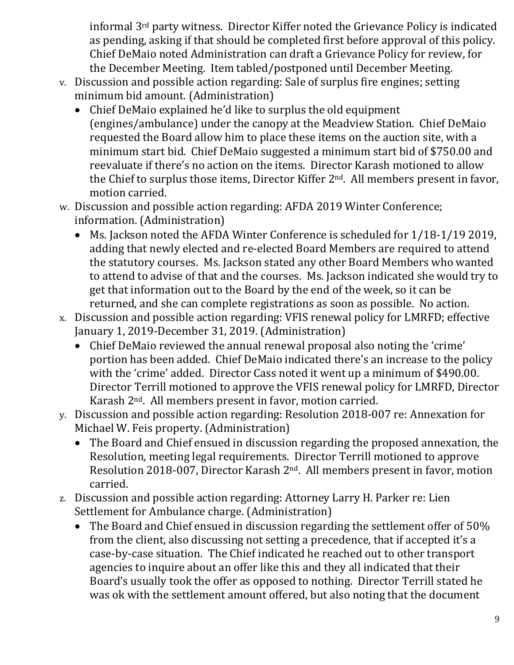informal 3rd party witness. Director Kiffer noted the Grievance Policy is indicated as pending, asking if that should be completed first before approval of this policy. Chief DeMaio noted Administration can draft a Grievance Policy for review, for the December Meeting. Item tabled/postponed until December Meeting.

- v. Discussion and possible action regarding: Sale of surplus fire engines; setting minimum bid amount. (Administration)
	- Chief DeMaio explained he'd like to surplus the old equipment (engines/ambulance) under the canopy at the Meadview Station. Chief DeMaio requested the Board allow him to place these items on the auction site, with a minimum start bid. Chief DeMaio suggested a minimum start bid of \$750.00 and reevaluate if there's no action on the items. Director Karash motioned to allow the Chief to surplus those items, Director Kiffer 2nd. All members present in favor, motion carried.
- w. Discussion and possible action regarding: AFDA 2019 Winter Conference; information. (Administration)
	- Ms. Jackson noted the AFDA Winter Conference is scheduled for  $1/18-1/19 2019$ , adding that newly elected and re-elected Board Members are required to attend the statutory courses. Ms. Jackson stated any other Board Members who wanted to attend to advise of that and the courses. Ms. Jackson indicated she would try to get that information out to the Board by the end of the week, so it can be returned, and she can complete registrations as soon as possible. No action.
- x. Discussion and possible action regarding: VFIS renewal policy for LMRFD; effective January 1, 2019-December 31, 2019. (Administration)
	- Chief DeMaio reviewed the annual renewal proposal also noting the 'crime' portion has been added. Chief DeMaio indicated there's an increase to the policy with the 'crime' added. Director Cass noted it went up a minimum of \$490.00. Director Terrill motioned to approve the VFIS renewal policy for LMRFD, Director Karash 2nd. All members present in favor, motion carried.
- y. Discussion and possible action regarding: Resolution 2018-007 re: Annexation for Michael W. Feis property. (Administration)
	- The Board and Chief ensued in discussion regarding the proposed annexation, the Resolution, meeting legal requirements. Director Terrill motioned to approve Resolution 2018-007, Director Karash 2nd. All members present in favor, motion carried.
- z. Discussion and possible action regarding: Attorney Larry H. Parker re: Lien Settlement for Ambulance charge. (Administration)
	- The Board and Chief ensued in discussion regarding the settlement offer of 50% from the client, also discussing not setting a precedence, that if accepted it's a case-by-case situation. The Chief indicated he reached out to other transport agencies to inquire about an offer like this and they all indicated that their Board's usually took the offer as opposed to nothing. Director Terrill stated he was ok with the settlement amount offered, but also noting that the document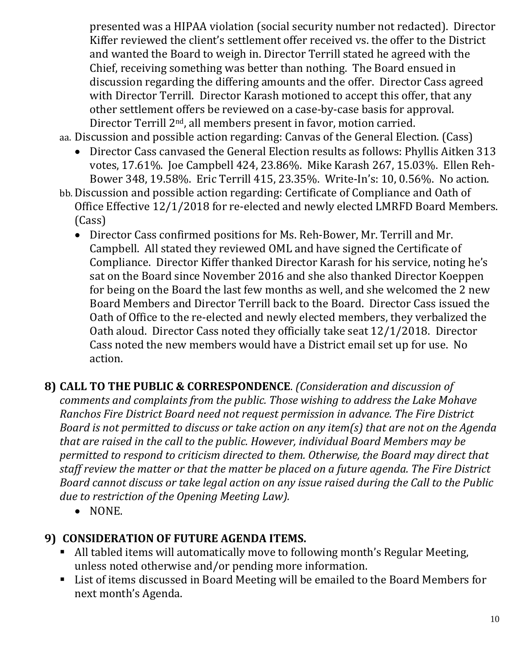presented was a HIPAA violation (social security number not redacted). Director Kiffer reviewed the client's settlement offer received vs. the offer to the District and wanted the Board to weigh in. Director Terrill stated he agreed with the Chief, receiving something was better than nothing. The Board ensued in discussion regarding the differing amounts and the offer. Director Cass agreed with Director Terrill. Director Karash motioned to accept this offer, that any other settlement offers be reviewed on a case-by-case basis for approval. Director Terrill 2nd, all members present in favor, motion carried.

aa. Discussion and possible action regarding: Canvas of the General Election. (Cass)

- Director Cass canvased the General Election results as follows: Phyllis Aitken 313 votes, 17.61%. Joe Campbell 424, 23.86%. Mike Karash 267, 15.03%. Ellen Reh-Bower 348, 19.58%. Eric Terrill 415, 23.35%. Write-In's: 10, 0.56%. No action.
- bb. Discussion and possible action regarding: Certificate of Compliance and Oath of Office Effective 12/1/2018 for re-elected and newly elected LMRFD Board Members. (Cass)
	- Director Cass confirmed positions for Ms. Reh-Bower, Mr. Terrill and Mr. Campbell. All stated they reviewed OML and have signed the Certificate of Compliance. Director Kiffer thanked Director Karash for his service, noting he's sat on the Board since November 2016 and she also thanked Director Koeppen for being on the Board the last few months as well, and she welcomed the 2 new Board Members and Director Terrill back to the Board. Director Cass issued the Oath of Office to the re-elected and newly elected members, they verbalized the Oath aloud. Director Cass noted they officially take seat 12/1/2018. Director Cass noted the new members would have a District email set up for use. No action.
- **8) CALL TO THE PUBLIC & CORRESPONDENCE**. *(Consideration and discussion of comments and complaints from the public. Those wishing to address the Lake Mohave Ranchos Fire District Board need not request permission in advance. The Fire District Board is not permitted to discuss or take action on any item(s) that are not on the Agenda that are raised in the call to the public. However, individual Board Members may be permitted to respond to criticism directed to them. Otherwise, the Board may direct that staff review the matter or that the matter be placed on a future agenda. The Fire District Board cannot discuss or take legal action on any issue raised during the Call to the Public due to restriction of the Opening Meeting Law).*
	- NONE.

### **9) CONSIDERATION OF FUTURE AGENDA ITEMS.**

- All tabled items will automatically move to following month's Regular Meeting, unless noted otherwise and/or pending more information.
- List of items discussed in Board Meeting will be emailed to the Board Members for next month's Agenda.